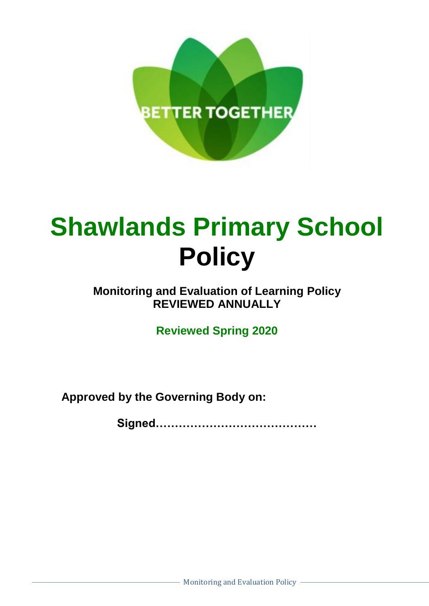

# **Shawlands Primary School Policy**

## **Monitoring and Evaluation of Learning Policy REVIEWED ANNUALLY**

**Reviewed Spring 2020**

**Approved by the Governing Body on:**

**Signed……………………………………**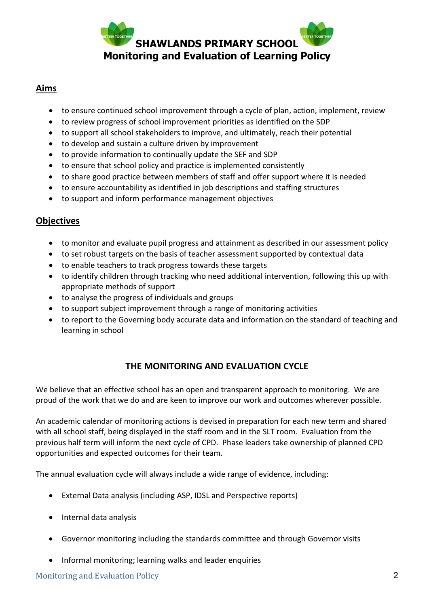

#### **Aims**

- to ensure continued school improvement through a cycle of plan, action, implement, review
- to review progress of school improvement priorities as identified on the SDP
- to support all school stakeholders to improve, and ultimately, reach their potential
- to develop and sustain a culture driven by improvement
- to provide information to continually update the SEF and SDP
- to ensure that school policy and practice is implemented consistently
- to share good practice between members of staff and offer support where it is needed
- to ensure accountability as identified in job descriptions and staffing structures
- to support and inform performance management objectives

#### **Objectives**

- to monitor and evaluate pupil progress and attainment as described in our assessment policy
- to set robust targets on the basis of teacher assessment supported by contextual data
- to enable teachers to track progress towards these targets
- to identify children through tracking who need additional intervention, following this up with appropriate methods of support
- to analyse the progress of individuals and groups
- to support subject improvement through a range of monitoring activities
- to report to the Governing body accurate data and information on the standard of teaching and learning in school

#### **THE MONITORING AND EVALUATION CYCLE**

We believe that an effective school has an open and transparent approach to monitoring. We are proud of the work that we do and are keen to improve our work and outcomes wherever possible.

An academic calendar of monitoring actions is devised in preparation for each new term and shared with all school staff, being displayed in the staff room and in the SLT room. Evaluation from the previous half term will inform the next cycle of CPD. Phase leaders take ownership of planned CPD opportunities and expected outcomes for their team.

The annual evaluation cycle will always include a wide range of evidence, including:

- External Data analysis (including ASP, IDSL and Perspective reports)
- Internal data analysis
- Governor monitoring including the standards committee and through Governor visits
- Informal monitoring; learning walks and leader enquiries

**Monitoring and Evaluation Policy 2**